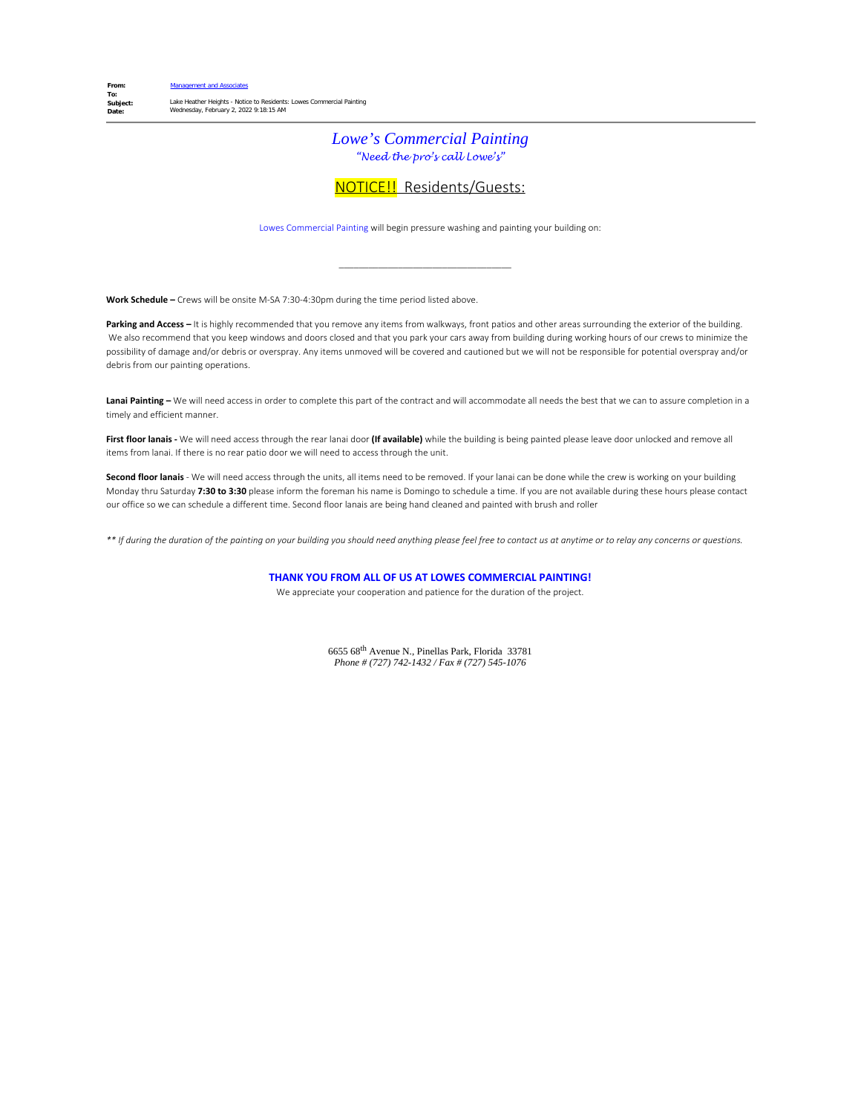### *Lowe's Commercial Painting "Need the pro's call Lowe's"*

### NOTICE!! Residents/Guests:

Lowes Commercial Painting will begin pressure washing and painting your building on:

\_\_\_\_\_\_\_\_\_\_\_\_\_\_\_\_\_\_\_\_\_\_\_\_\_\_\_\_\_\_\_\_\_\_\_

**Work Schedule –** Crews will be onsite M-SA 7:30-4:30pm during the time period listed above.

Parking and Access – It is highly recommended that you remove any items from walkways, front patios and other areas surrounding the exterior of the building. We also recommend that you keep windows and doors closed and that you park your cars away from building during working hours of our crews to minimize the possibility of damage and/or debris or overspray. Any items unmoved will be covered and cautioned but we will not be responsible for potential overspray and/or debris from our painting operations.

Lanai Painting - We will need access in order to complete this part of the contract and will accommodate all needs the best that we can to assure completion in a timely and efficient manner.

**First floor lanais -** We will need access through the rear lanai door **(If available)** while the building is being painted please leave door unlocked and remove all items from lanai. If there is no rear patio door we will need to access through the unit.

**Second floor lanais** - We will need access through the units, all items need to be removed. If your lanai can be done while the crew is working on your building Monday thru Saturday **7:30 to 3:30** please inform the foreman his name is Domingo to schedule a time. If you are not available during these hours please contact our office so we can schedule a different time. Second floor lanais are being hand cleaned and painted with brush and roller

*\*\* If during the duration of the painting on your building you should need anything please feel free to contact us at anytime or to relay any concerns or questions.*

**THANK YOU FROM ALL OF US AT LOWES COMMERCIAL PAINTING!**

We appreciate your cooperation and patience for the duration of the project.

6655 68th Avenue N., Pinellas Park, Florida 33781 *Phone # (727) 742-1432 / Fax # (727) 545-1076*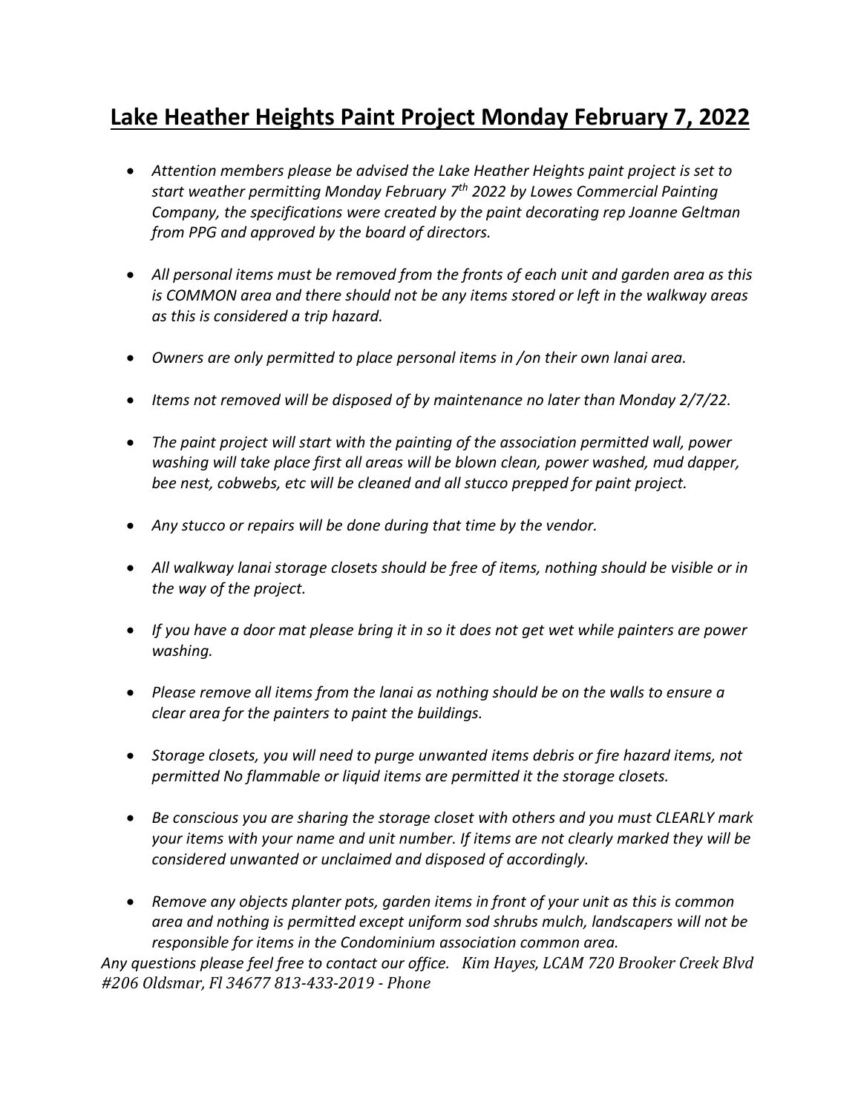## **Lake Heather Heights Paint Project Monday February 7, 2022**

- *Attention members please be advised the Lake Heather Heights paint project is set to start weather permitting Monday February 7th 2022 by Lowes Commercial Painting Company, the specifications were created by the paint decorating rep Joanne Geltman from PPG and approved by the board of directors.*
- *All personal items must be removed from the fronts of each unit and garden area as this is COMMON area and there should not be any items stored or left in the walkway areas as this is considered a trip hazard.*
- *Owners are only permitted to place personal items in /on their own lanai area.*
- *Items not removed will be disposed of by maintenance no later than Monday 2/7/22.*
- *The paint project will start with the painting of the association permitted wall, power washing will take place first all areas will be blown clean, power washed, mud dapper, bee nest, cobwebs, etc will be cleaned and all stucco prepped for paint project.*
- *Any stucco or repairs will be done during that time by the vendor.*
- *All walkway lanai storage closets should be free of items, nothing should be visible or in the way of the project.*
- *If you have a door mat please bring it in so it does not get wet while painters are power washing.*
- *Please remove all items from the lanai as nothing should be on the walls to ensure a clear area for the painters to paint the buildings.*
- *Storage closets, you will need to purge unwanted items debris or fire hazard items, not permitted No flammable or liquid items are permitted it the storage closets.*
- *Be conscious you are sharing the storage closet with others and you must CLEARLY mark your items with your name and unit number. If items are not clearly marked they will be considered unwanted or unclaimed and disposed of accordingly.*
- *Remove any objects planter pots, garden items in front of your unit as this is common area and nothing is permitted except uniform sod shrubs mulch, landscapers will not be responsible for items in the Condominium association common area.*

*Any questions please feel free to contact our office. Kim Hayes, LCAM 720 Brooker Creek Blvd #206 Oldsmar, Fl 34677 813-433-2019 - Phone*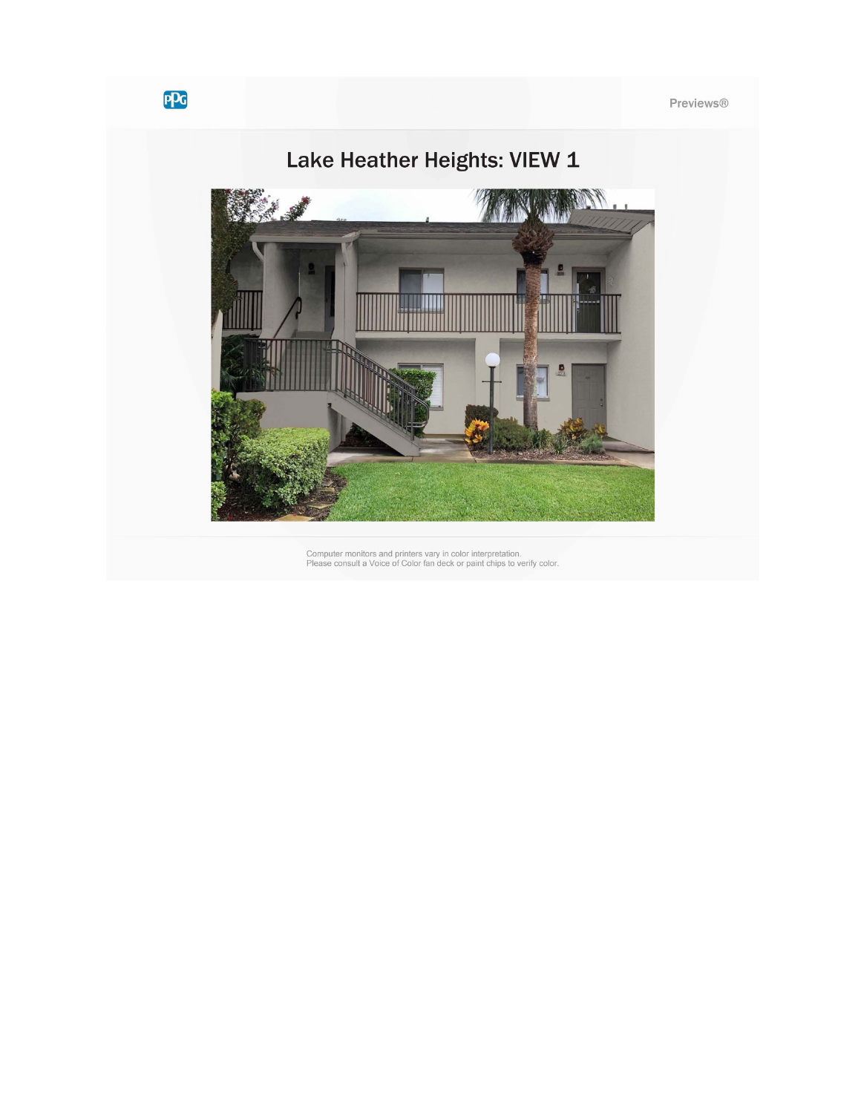

Computer monitors and printers vary in color interpretation.<br>Please consult a Voice of Color fan deck or paint chips to verify color.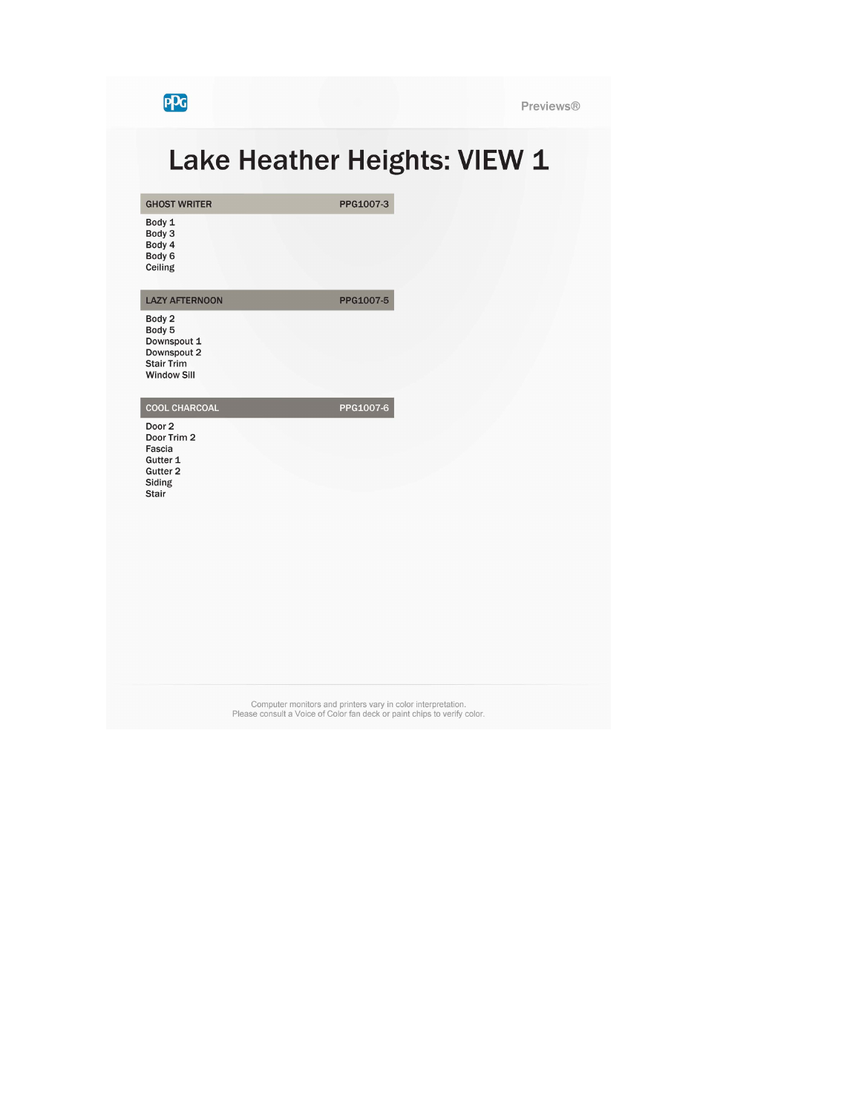**PPG** 

**GHOST WRITER** 

Previews®

# Lake Heather Heights: VIEW 1

PPG1007-3

PPG1007-5

Body 1 Body 3<br>Body 3<br>Body 4<br>Body 6 Ceiling

**LAZY AFTERNOON** 

Body 2 Body 5<br>Body 5<br>Downspout 1 Downspout 2<br>Stair Trim **Window Sill** 

PPG1007-6

Door 2 Door Trim 2 Fascia Gutter 1 Gutter 2 Siding Stair

**COOL CHARCOAL** 

Computer monitors and printers vary in color interpretation.<br>Please consult a Voice of Color fan deck or paint chips to verify color.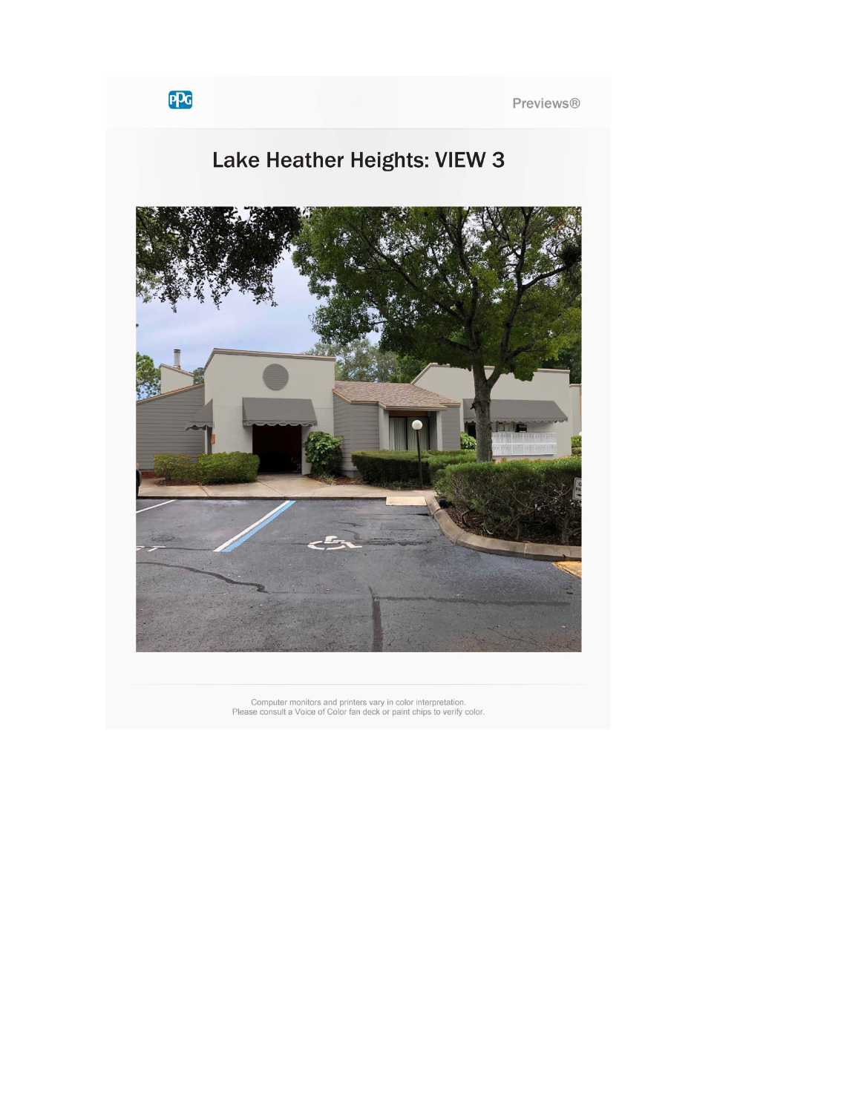Previews®

## Lake Heather Heights: VIEW 3



Computer monitors and printers vary in color interpretation.<br>Please consult a Voice of Color fan deck or paint chips to verify color.

PPG